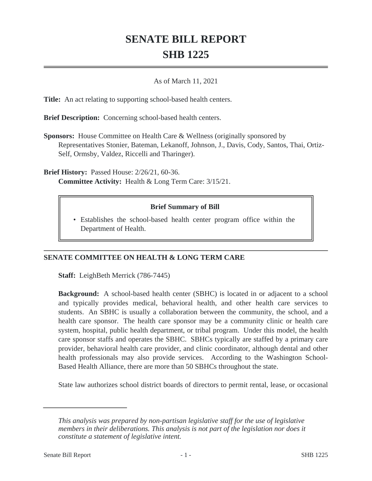## **SENATE BILL REPORT SHB 1225**

## As of March 11, 2021

**Title:** An act relating to supporting school-based health centers.

**Brief Description:** Concerning school-based health centers.

**Sponsors:** House Committee on Health Care & Wellness (originally sponsored by Representatives Stonier, Bateman, Lekanoff, Johnson, J., Davis, Cody, Santos, Thai, Ortiz-Self, Ormsby, Valdez, Riccelli and Tharinger).

**Brief History:** Passed House: 2/26/21, 60-36. **Committee Activity:** Health & Long Term Care: 3/15/21.

## **Brief Summary of Bill**

Establishes the school-based health center program office within the • Department of Health.

## **SENATE COMMITTEE ON HEALTH & LONG TERM CARE**

**Staff:** LeighBeth Merrick (786-7445)

**Background:** A school-based health center (SBHC) is located in or adjacent to a school and typically provides medical, behavioral health, and other health care services to students. An SBHC is usually a collaboration between the community, the school, and a health care sponsor. The health care sponsor may be a community clinic or health care system, hospital, public health department, or tribal program. Under this model, the health care sponsor staffs and operates the SBHC. SBHCs typically are staffed by a primary care provider, behavioral health care provider, and clinic coordinator, although dental and other health professionals may also provide services. According to the Washington School-Based Health Alliance, there are more than 50 SBHCs throughout the state.

State law authorizes school district boards of directors to permit rental, lease, or occasional

*This analysis was prepared by non-partisan legislative staff for the use of legislative members in their deliberations. This analysis is not part of the legislation nor does it constitute a statement of legislative intent.*